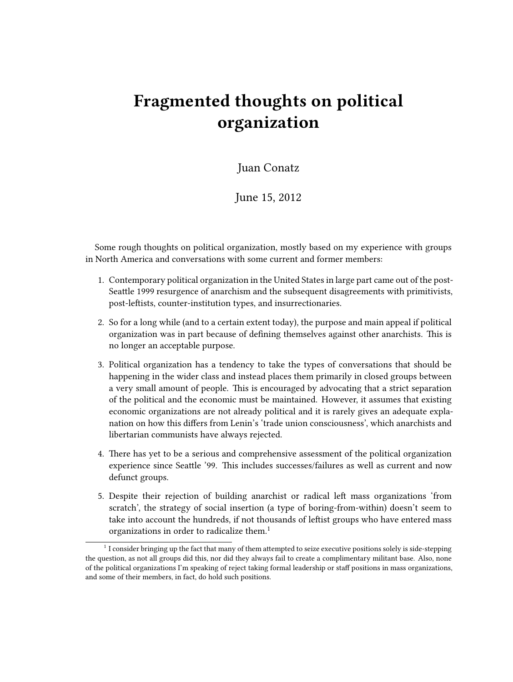## **Fragmented thoughts on political organization**

## Juan Conatz

June 15, 2012

Some rough thoughts on political organization, mostly based on my experience with groups in North America and conversations with some current and former members:

- 1. Contemporary political organization in the United States in large part came out of the post-Seattle 1999 resurgence of anarchism and the subsequent disagreements with primitivists, post-leftists, counter-institution types, and insurrectionaries.
- 2. So for a long while (and to a certain extent today), the purpose and main appeal if political organization was in part because of defining themselves against other anarchists. This is no longer an acceptable purpose.
- 3. Political organization has a tendency to take the types of conversations that should be happening in the wider class and instead places them primarily in closed groups between a very small amount of people. This is encouraged by advocating that a strict separation of the political and the economic must be maintained. However, it assumes that existing economic organizations are not already political and it is rarely gives an adequate explanation on how this differs from Lenin's 'trade union consciousness', which anarchists and libertarian communists have always rejected.
- 4. There has yet to be a serious and comprehensive assessment of the political organization experience since Seattle '99. This includes successes/failures as well as current and now defunct groups.
- 5. Despite their rejection of building anarchist or radical left mass organizations 'from scratch', the strategy of social insertion (a type of boring-from-within) doesn't seem to take into account the hundreds, if not thousands of leftist groups who have entered mass organizations in order to radicalize them.<sup>1</sup>

<sup>&</sup>lt;sup>1</sup> I consider bringing up the fact that many of them attempted to seize executive positions solely is side-stepping the question, as not all groups did this, nor did they always fail to create a complimentary militant base. Also, none of the political organizations I'm speaking of reject taking formal leadership or staff positions in mass organizations, and some of their members, in fact, do hold such positions.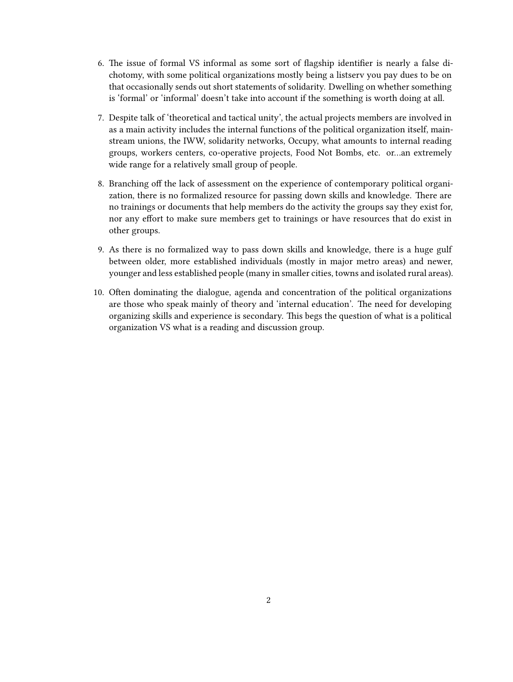- 6. The issue of formal VS informal as some sort of flagship identifier is nearly a false dichotomy, with some political organizations mostly being a listserv you pay dues to be on that occasionally sends out short statements of solidarity. Dwelling on whether something is 'formal' or 'informal' doesn't take into account if the something is worth doing at all.
- 7. Despite talk of 'theoretical and tactical unity', the actual projects members are involved in as a main activity includes the internal functions of the political organization itself, mainstream unions, the IWW, solidarity networks, Occupy, what amounts to internal reading groups, workers centers, co-operative projects, Food Not Bombs, etc. or…an extremely wide range for a relatively small group of people.
- 8. Branching off the lack of assessment on the experience of contemporary political organization, there is no formalized resource for passing down skills and knowledge. There are no trainings or documents that help members do the activity the groups say they exist for, nor any effort to make sure members get to trainings or have resources that do exist in other groups.
- 9. As there is no formalized way to pass down skills and knowledge, there is a huge gulf between older, more established individuals (mostly in major metro areas) and newer, younger and less established people (many in smaller cities, towns and isolated rural areas).
- 10. Often dominating the dialogue, agenda and concentration of the political organizations are those who speak mainly of theory and 'internal education'. The need for developing organizing skills and experience is secondary. This begs the question of what is a political organization VS what is a reading and discussion group.